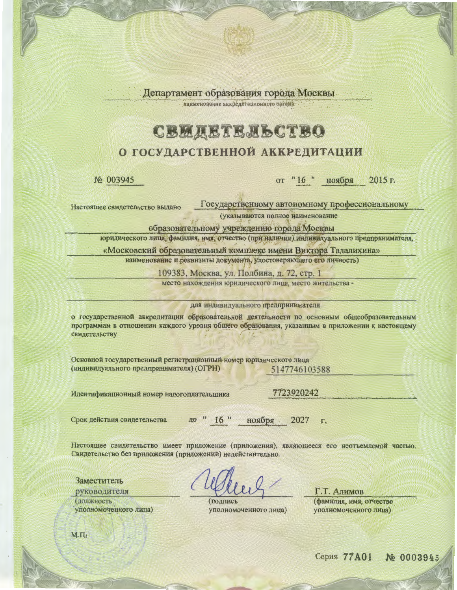Департамент образования города Москвы

наименование аккредитационного органа.

## **CBM AETE AL CTBO**

### О ГОСУДАРСТВЕННОЙ АККРЕДИТАЦИИ

No 003945

#### от "16 " 2015 г. ноября

Государственному автономному профессиональному Настоящее свидетельство выдано

(указываются полное наименование

образовательному учреждению города Москвы

юридического лица, фамилия, имя, отчество (при наличии) индивидуального предпринимателя,

«Московский образовательный комплекс имени Виктора Талалихина»

наименование и реквизиты документа, удостоверяющего его личность)

109383, Москва, ул. Полбина, д. 72, стр. 1

место нахождения юридического лица, место жительства -

для индивидуального предпринимателя

о государственной аккредитации образовательной деятельности по основным общеобразовательным программам в отношении каждого уровня общего образования, указанным в приложении к настоящему свидетельству

Основной государственный регистрационный номер юридического лица (индивидуального предпринимателя) (ОГРН) 5147746103588

Идентификационный номер налогоплательщика

7723920242

Срок действия свидетельства

до " 16 " ноября 2027

Настоящее свидетельство имеет приложение (приложения), являющееся его неотъемлемой частью. Свидетельство без приложения (приложений) недействительно.

Заместитель руководителя должность уполномоченного лица)

**ПОДПИСЬ** уполномоченного лица)

Г.Т. Алимов (фамилия, имя, отчество уполномоченного лица)

 $M.H.$